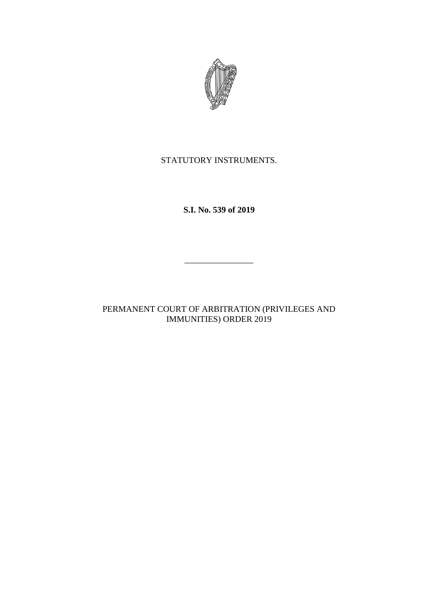

# STATUTORY INSTRUMENTS.

**S.I. No. 539 of 2019**

PERMANENT COURT OF ARBITRATION (PRIVILEGES AND IMMUNITIES) ORDER 2019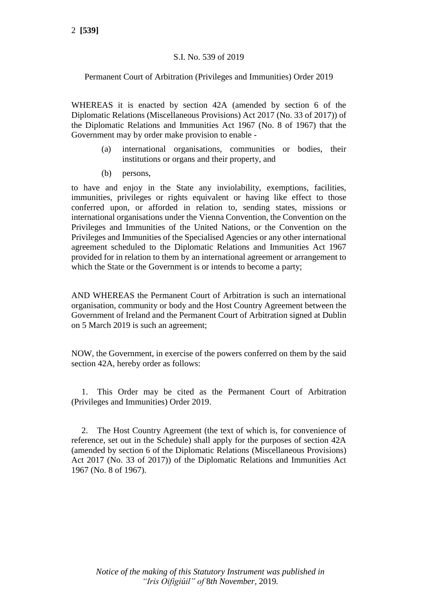# S.I. No. 539 of 2019

Permanent Court of Arbitration (Privileges and Immunities) Order 2019

WHEREAS it is enacted by section 42A (amended by section 6 of the Diplomatic Relations (Miscellaneous Provisions) Act 2017 (No. 33 of 2017)) of the Diplomatic Relations and Immunities Act 1967 (No. 8 of 1967) that the Government may by order make provision to enable -

- (a) international organisations, communities or bodies, their institutions or organs and their property, and
- (b) persons,

to have and enjoy in the State any inviolability, exemptions, facilities, immunities, privileges or rights equivalent or having like effect to those conferred upon, or afforded in relation to, sending states, missions or international organisations under the Vienna Convention, the Convention on the Privileges and Immunities of the United Nations, or the Convention on the Privileges and Immunities of the Specialised Agencies or any other international agreement scheduled to the Diplomatic Relations and Immunities Act 1967 provided for in relation to them by an international agreement or arrangement to which the State or the Government is or intends to become a party;

AND WHEREAS the Permanent Court of Arbitration is such an international organisation, community or body and the Host Country Agreement between the Government of Ireland and the Permanent Court of Arbitration signed at Dublin on 5 March 2019 is such an agreement;

NOW, the Government, in exercise of the powers conferred on them by the said section 42A, hereby order as follows:

1. This Order may be cited as the Permanent Court of Arbitration (Privileges and Immunities) Order 2019.

2. The Host Country Agreement (the text of which is, for convenience of reference, set out in the Schedule) shall apply for the purposes of section 42A (amended by section 6 of the Diplomatic Relations (Miscellaneous Provisions) Act 2017 (No. 33 of 2017)) of the Diplomatic Relations and Immunities Act 1967 (No. 8 of 1967).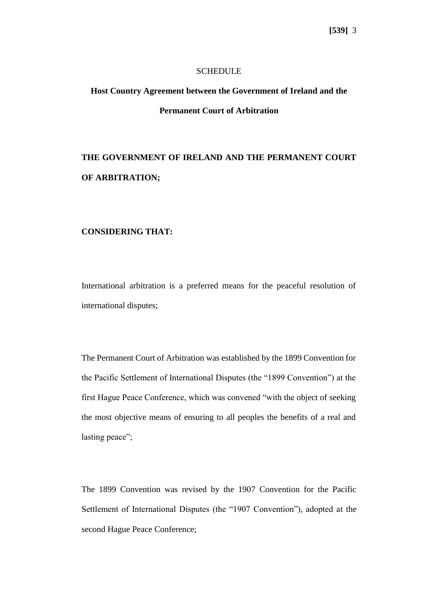#### **SCHEDULE**

# **Host Country Agreement between the Government of Ireland and the Permanent Court of Arbitration**

# **THE GOVERNMENT OF IRELAND AND THE PERMANENT COURT OF ARBITRATION;**

#### **CONSIDERING THAT:**

International arbitration is a preferred means for the peaceful resolution of international disputes;

The Permanent Court of Arbitration was established by the 1899 Convention for the Pacific Settlement of International Disputes (the "1899 Convention") at the first Hague Peace Conference, which was convened "with the object of seeking the most objective means of ensuring to all peoples the benefits of a real and lasting peace";

The 1899 Convention was revised by the 1907 Convention for the Pacific Settlement of International Disputes (the "1907 Convention"), adopted at the second Hague Peace Conference;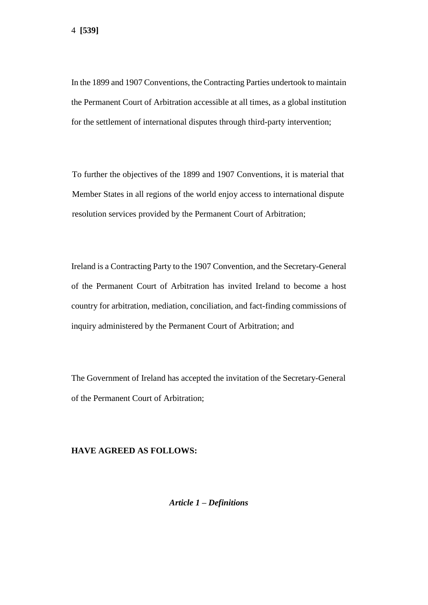In the 1899 and 1907 Conventions, the Contracting Parties undertook to maintain the Permanent Court of Arbitration accessible at all times, as a global institution for the settlement of international disputes through third-party intervention;

To further the objectives of the 1899 and 1907 Conventions, it is material that Member States in all regions of the world enjoy access to international dispute resolution services provided by the Permanent Court of Arbitration;

Ireland is a Contracting Party to the 1907 Convention, and the Secretary-General of the Permanent Court of Arbitration has invited Ireland to become a host country for arbitration, mediation, conciliation, and fact-finding commissions of inquiry administered by the Permanent Court of Arbitration; and

The Government of Ireland has accepted the invitation of the Secretary-General of the Permanent Court of Arbitration;

#### **HAVE AGREED AS FOLLOWS:**

*Article 1 – Definitions*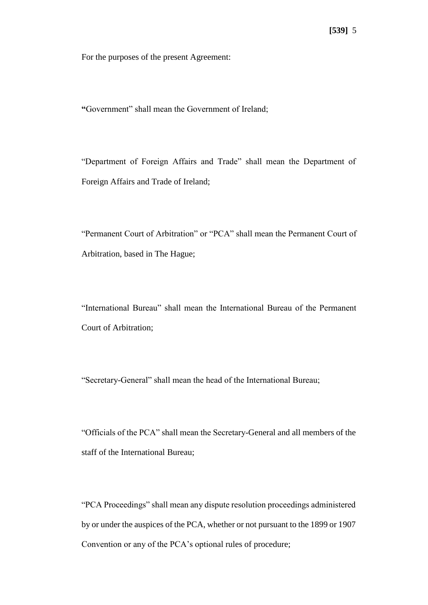For the purposes of the present Agreement:

**"**Government" shall mean the Government of Ireland;

"Department of Foreign Affairs and Trade" shall mean the Department of Foreign Affairs and Trade of Ireland;

"Permanent Court of Arbitration" or "PCA" shall mean the Permanent Court of Arbitration, based in The Hague;

"International Bureau" shall mean the International Bureau of the Permanent Court of Arbitration;

"Secretary-General" shall mean the head of the International Bureau;

"Officials of the PCA" shall mean the Secretary-General and all members of the staff of the International Bureau;

"PCA Proceedings" shall mean any dispute resolution proceedings administered by or under the auspices of the PCA, whether or not pursuant to the 1899 or 1907 Convention or any of the PCA's optional rules of procedure;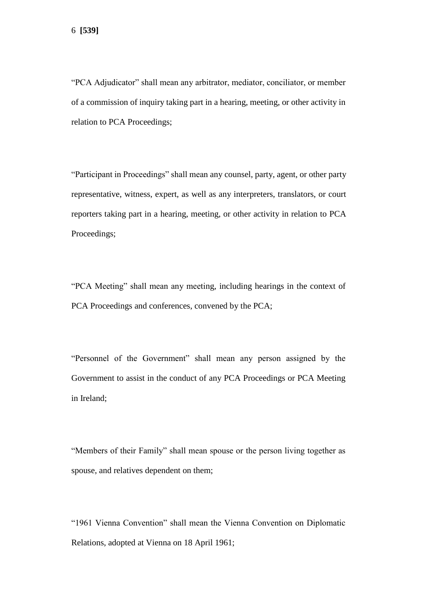"PCA Adjudicator" shall mean any arbitrator, mediator, conciliator, or member of a commission of inquiry taking part in a hearing, meeting, or other activity in relation to PCA Proceedings;

"Participant in Proceedings" shall mean any counsel, party, agent, or other party representative, witness, expert, as well as any interpreters, translators, or court reporters taking part in a hearing, meeting, or other activity in relation to PCA Proceedings;

"PCA Meeting" shall mean any meeting, including hearings in the context of PCA Proceedings and conferences, convened by the PCA;

"Personnel of the Government" shall mean any person assigned by the Government to assist in the conduct of any PCA Proceedings or PCA Meeting in Ireland;

"Members of their Family" shall mean spouse or the person living together as spouse, and relatives dependent on them;

"1961 Vienna Convention" shall mean the Vienna Convention on Diplomatic Relations, adopted at Vienna on 18 April 1961;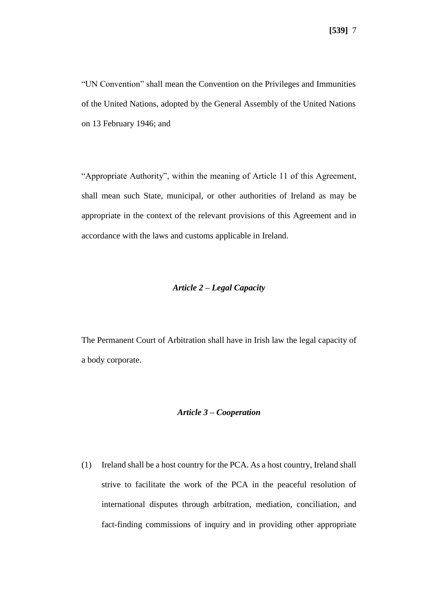"UN Convention" shall mean the Convention on the Privileges and Immunities of the United Nations, adopted by the General Assembly of the United Nations on 13 February 1946; and

"Appropriate Authority", within the meaning of Article 11 of this Agreement, shall mean such State, municipal, or other authorities of Ireland as may be appropriate in the context of the relevant provisions of this Agreement and in accordance with the laws and customs applicable in Ireland.

### *Article 2 – Legal Capacity*

The Permanent Court of Arbitration shall have in Irish law the legal capacity of a body corporate.

#### *Article 3 – Cooperation*

(1) Ireland shall be a host country for the PCA. As a host country, Ireland shall strive to facilitate the work of the PCA in the peaceful resolution of international disputes through arbitration, mediation, conciliation, and fact-finding commissions of inquiry and in providing other appropriate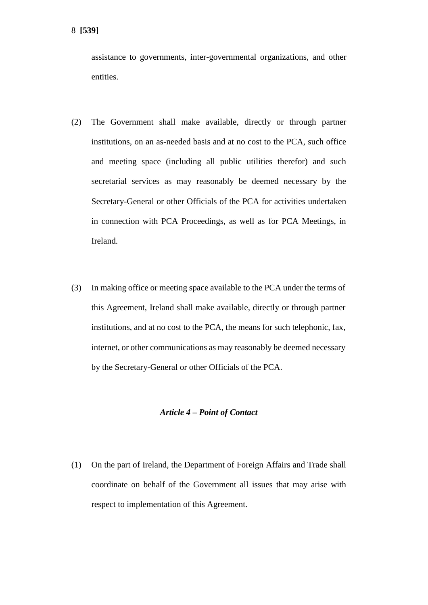assistance to governments, inter-governmental organizations, and other entities.

- (2) The Government shall make available, directly or through partner institutions, on an as-needed basis and at no cost to the PCA, such office and meeting space (including all public utilities therefor) and such secretarial services as may reasonably be deemed necessary by the Secretary-General or other Officials of the PCA for activities undertaken in connection with PCA Proceedings, as well as for PCA Meetings, in Ireland.
- (3) In making office or meeting space available to the PCA under the terms of this Agreement, Ireland shall make available, directly or through partner institutions, and at no cost to the PCA, the means for such telephonic, fax, internet, or other communications as may reasonably be deemed necessary by the Secretary-General or other Officials of the PCA.

#### *Article 4 – Point of Contact*

(1) On the part of Ireland, the Department of Foreign Affairs and Trade shall coordinate on behalf of the Government all issues that may arise with respect to implementation of this Agreement.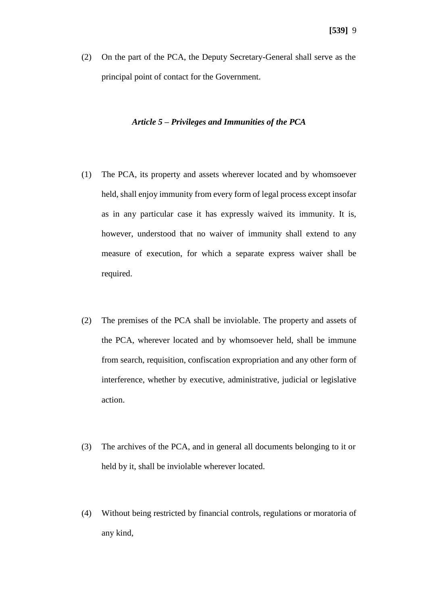(2) On the part of the PCA, the Deputy Secretary-General shall serve as the principal point of contact for the Government.

### *Article 5 – Privileges and Immunities of the PCA*

- (1) The PCA, its property and assets wherever located and by whomsoever held, shall enjoy immunity from every form of legal process except insofar as in any particular case it has expressly waived its immunity. It is, however, understood that no waiver of immunity shall extend to any measure of execution, for which a separate express waiver shall be required.
- (2) The premises of the PCA shall be inviolable. The property and assets of the PCA, wherever located and by whomsoever held, shall be immune from search, requisition, confiscation expropriation and any other form of interference, whether by executive, administrative, judicial or legislative action.
- (3) The archives of the PCA, and in general all documents belonging to it or held by it, shall be inviolable wherever located.
- (4) Without being restricted by financial controls, regulations or moratoria of any kind,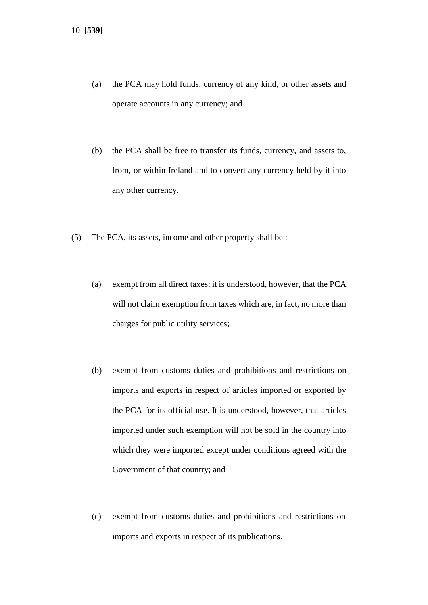- (a) the PCA may hold funds, currency of any kind, or other assets and operate accounts in any currency; and
- (b) the PCA shall be free to transfer its funds, currency, and assets to, from, or within Ireland and to convert any currency held by it into any other currency.
- (5) The PCA, its assets, income and other property shall be :
	- (a) exempt from all direct taxes; it is understood, however, that the PCA will not claim exemption from taxes which are, in fact, no more than charges for public utility services;
	- (b) exempt from customs duties and prohibitions and restrictions on imports and exports in respect of articles imported or exported by the PCA for its official use. It is understood, however, that articles imported under such exemption will not be sold in the country into which they were imported except under conditions agreed with the Government of that country; and
	- (c) exempt from customs duties and prohibitions and restrictions on imports and exports in respect of its publications.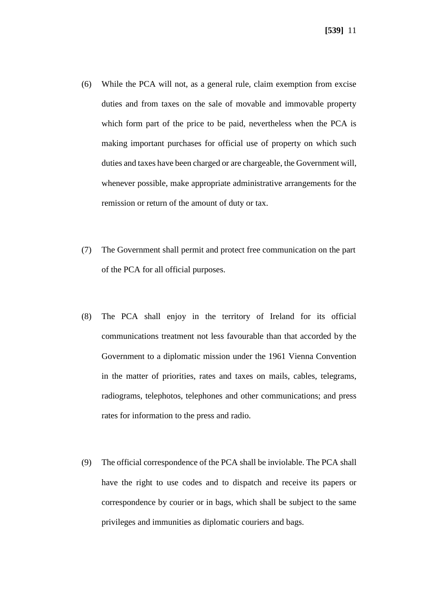- (6) While the PCA will not, as a general rule, claim exemption from excise duties and from taxes on the sale of movable and immovable property which form part of the price to be paid, nevertheless when the PCA is making important purchases for official use of property on which such duties and taxes have been charged or are chargeable, the Government will, whenever possible, make appropriate administrative arrangements for the remission or return of the amount of duty or tax.
- (7) The Government shall permit and protect free communication on the part of the PCA for all official purposes.
- (8) The PCA shall enjoy in the territory of Ireland for its official communications treatment not less favourable than that accorded by the Government to a diplomatic mission under the 1961 Vienna Convention in the matter of priorities, rates and taxes on mails, cables, telegrams, radiograms, telephotos, telephones and other communications; and press rates for information to the press and radio.
- (9) The official correspondence of the PCA shall be inviolable. The PCA shall have the right to use codes and to dispatch and receive its papers or correspondence by courier or in bags, which shall be subject to the same privileges and immunities as diplomatic couriers and bags.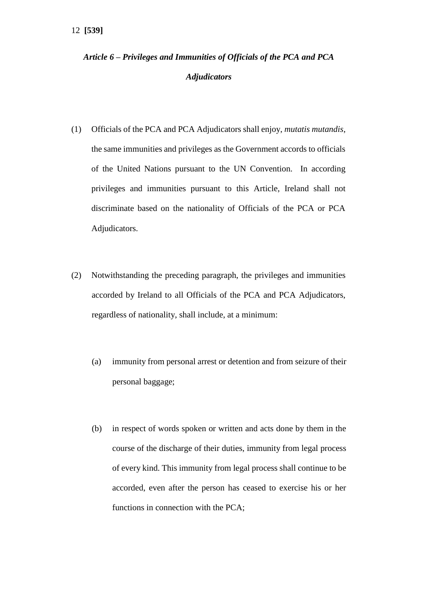# *Article 6 – Privileges and Immunities of Officials of the PCA and PCA Adjudicators*

- (1) Officials of the PCA and PCA Adjudicators shall enjoy, *mutatis mutandis*, the same immunities and privileges as the Government accords to officials of the United Nations pursuant to the UN Convention. In according privileges and immunities pursuant to this Article, Ireland shall not discriminate based on the nationality of Officials of the PCA or PCA Adjudicators.
- (2) Notwithstanding the preceding paragraph, the privileges and immunities accorded by Ireland to all Officials of the PCA and PCA Adjudicators, regardless of nationality, shall include, at a minimum:
	- (a) immunity from personal arrest or detention and from seizure of their personal baggage;
	- (b) in respect of words spoken or written and acts done by them in the course of the discharge of their duties, immunity from legal process of every kind. This immunity from legal process shall continue to be accorded, even after the person has ceased to exercise his or her functions in connection with the PCA;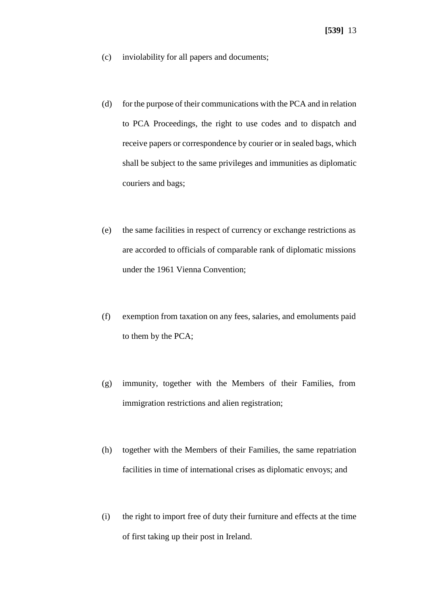- (c) inviolability for all papers and documents;
- (d) for the purpose of their communications with the PCA and in relation to PCA Proceedings, the right to use codes and to dispatch and receive papers or correspondence by courier or in sealed bags, which shall be subject to the same privileges and immunities as diplomatic couriers and bags;
- (e) the same facilities in respect of currency or exchange restrictions as are accorded to officials of comparable rank of diplomatic missions under the 1961 Vienna Convention;
- (f) exemption from taxation on any fees, salaries, and emoluments paid to them by the PCA;
- (g) immunity, together with the Members of their Families, from immigration restrictions and alien registration;
- (h) together with the Members of their Families, the same repatriation facilities in time of international crises as diplomatic envoys; and
- (i) the right to import free of duty their furniture and effects at the time of first taking up their post in Ireland.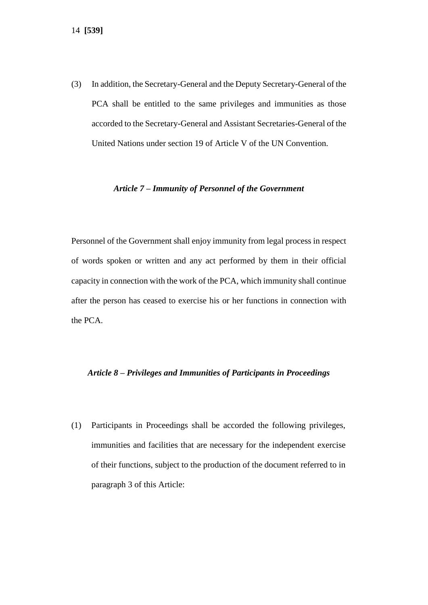(3) In addition, the Secretary-General and the Deputy Secretary-General of the PCA shall be entitled to the same privileges and immunities as those accorded to the Secretary-General and Assistant Secretaries-General of the United Nations under section 19 of Article V of the UN Convention.

#### *Article 7 – Immunity of Personnel of the Government*

Personnel of the Government shall enjoy immunity from legal process in respect of words spoken or written and any act performed by them in their official capacity in connection with the work of the PCA, which immunity shall continue after the person has ceased to exercise his or her functions in connection with the PCA.

#### *Article 8 – Privileges and Immunities of Participants in Proceedings*

(1) Participants in Proceedings shall be accorded the following privileges, immunities and facilities that are necessary for the independent exercise of their functions, subject to the production of the document referred to in paragraph 3 of this Article: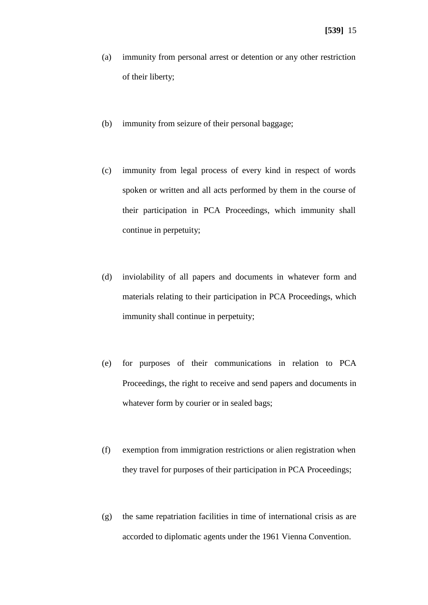- (a) immunity from personal arrest or detention or any other restriction of their liberty;
- (b) immunity from seizure of their personal baggage;
- (c) immunity from legal process of every kind in respect of words spoken or written and all acts performed by them in the course of their participation in PCA Proceedings, which immunity shall continue in perpetuity;
- (d) inviolability of all papers and documents in whatever form and materials relating to their participation in PCA Proceedings, which immunity shall continue in perpetuity;
- (e) for purposes of their communications in relation to PCA Proceedings, the right to receive and send papers and documents in whatever form by courier or in sealed bags;
- (f) exemption from immigration restrictions or alien registration when they travel for purposes of their participation in PCA Proceedings;
- (g) the same repatriation facilities in time of international crisis as are accorded to diplomatic agents under the 1961 Vienna Convention.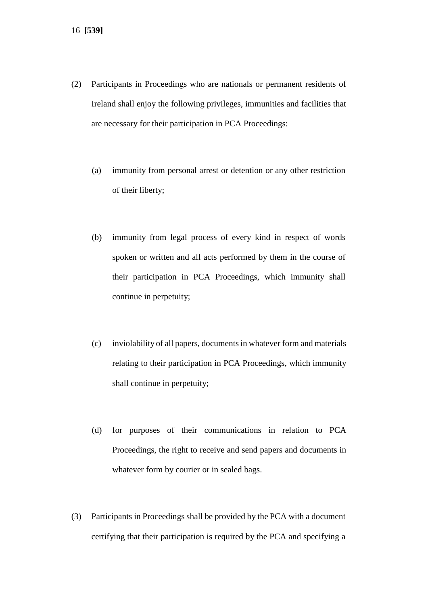- (2) Participants in Proceedings who are nationals or permanent residents of Ireland shall enjoy the following privileges, immunities and facilities that are necessary for their participation in PCA Proceedings:
	- (a) immunity from personal arrest or detention or any other restriction of their liberty;
	- (b) immunity from legal process of every kind in respect of words spoken or written and all acts performed by them in the course of their participation in PCA Proceedings, which immunity shall continue in perpetuity;
	- (c) inviolability of all papers, documents in whatever form and materials relating to their participation in PCA Proceedings, which immunity shall continue in perpetuity;
	- (d) for purposes of their communications in relation to PCA Proceedings, the right to receive and send papers and documents in whatever form by courier or in sealed bags.
- (3) Participants in Proceedings shall be provided by the PCA with a document certifying that their participation is required by the PCA and specifying a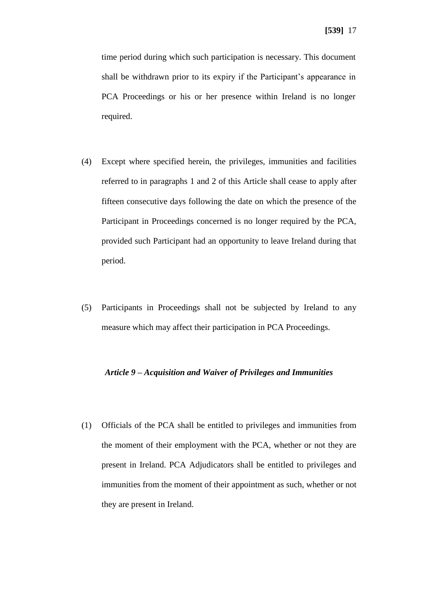time period during which such participation is necessary. This document shall be withdrawn prior to its expiry if the Participant's appearance in PCA Proceedings or his or her presence within Ireland is no longer required.

- (4) Except where specified herein, the privileges, immunities and facilities referred to in paragraphs 1 and 2 of this Article shall cease to apply after fifteen consecutive days following the date on which the presence of the Participant in Proceedings concerned is no longer required by the PCA, provided such Participant had an opportunity to leave Ireland during that period.
- (5) Participants in Proceedings shall not be subjected by Ireland to any measure which may affect their participation in PCA Proceedings.

#### *Article 9 – Acquisition and Waiver of Privileges and Immunities*

(1) Officials of the PCA shall be entitled to privileges and immunities from the moment of their employment with the PCA, whether or not they are present in Ireland. PCA Adjudicators shall be entitled to privileges and immunities from the moment of their appointment as such, whether or not they are present in Ireland.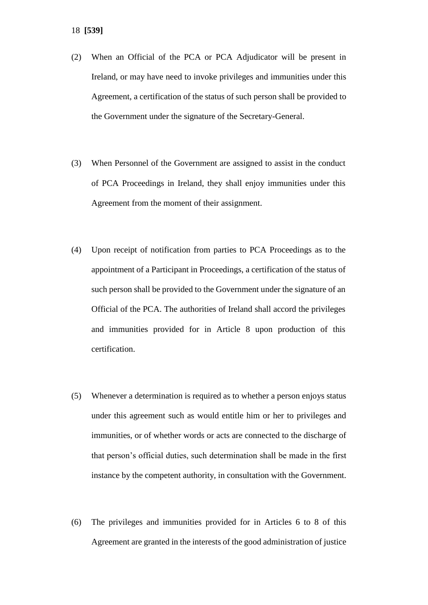- (2) When an Official of the PCA or PCA Adjudicator will be present in Ireland, or may have need to invoke privileges and immunities under this Agreement, a certification of the status of such person shall be provided to the Government under the signature of the Secretary-General.
- (3) When Personnel of the Government are assigned to assist in the conduct of PCA Proceedings in Ireland, they shall enjoy immunities under this Agreement from the moment of their assignment.
- (4) Upon receipt of notification from parties to PCA Proceedings as to the appointment of a Participant in Proceedings, a certification of the status of such person shall be provided to the Government under the signature of an Official of the PCA. The authorities of Ireland shall accord the privileges and immunities provided for in Article 8 upon production of this certification.
- (5) Whenever a determination is required as to whether a person enjoys status under this agreement such as would entitle him or her to privileges and immunities, or of whether words or acts are connected to the discharge of that person's official duties, such determination shall be made in the first instance by the competent authority, in consultation with the Government.
- (6) The privileges and immunities provided for in Articles 6 to 8 of this Agreement are granted in the interests of the good administration of justice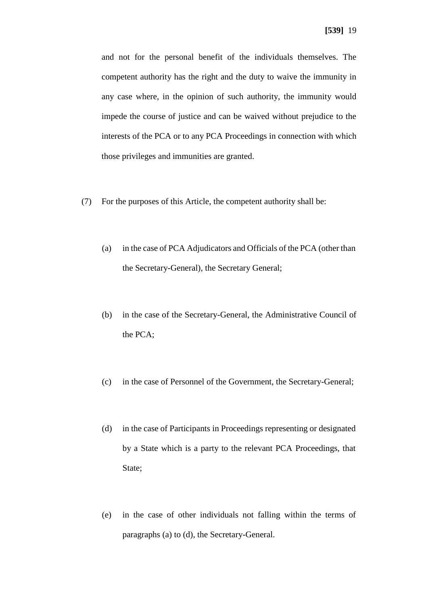and not for the personal benefit of the individuals themselves. The competent authority has the right and the duty to waive the immunity in any case where, in the opinion of such authority, the immunity would impede the course of justice and can be waived without prejudice to the interests of the PCA or to any PCA Proceedings in connection with which those privileges and immunities are granted.

- (7) For the purposes of this Article, the competent authority shall be:
	- (a) in the case of PCA Adjudicators and Officials of the PCA (other than the Secretary-General), the Secretary General;
	- (b) in the case of the Secretary-General, the Administrative Council of the PCA;
	- (c) in the case of Personnel of the Government, the Secretary-General;
	- (d) in the case of Participants in Proceedings representing or designated by a State which is a party to the relevant PCA Proceedings, that State;
	- (e) in the case of other individuals not falling within the terms of paragraphs (a) to (d), the Secretary-General.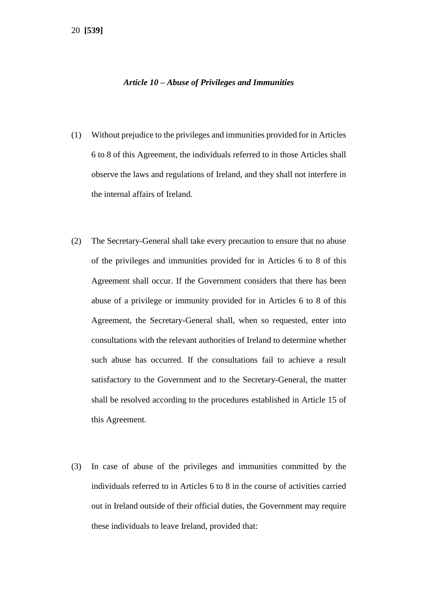#### *Article 10 – Abuse of Privileges and Immunities*

- (1) Without prejudice to the privileges and immunities provided for in Articles 6 to 8 of this Agreement, the individuals referred to in those Articles shall observe the laws and regulations of Ireland, and they shall not interfere in the internal affairs of Ireland.
- (2) The Secretary-General shall take every precaution to ensure that no abuse of the privileges and immunities provided for in Articles 6 to 8 of this Agreement shall occur. If the Government considers that there has been abuse of a privilege or immunity provided for in Articles 6 to 8 of this Agreement, the Secretary-General shall, when so requested, enter into consultations with the relevant authorities of Ireland to determine whether such abuse has occurred. If the consultations fail to achieve a result satisfactory to the Government and to the Secretary-General, the matter shall be resolved according to the procedures established in Article 15 of this Agreement.
- (3) In case of abuse of the privileges and immunities committed by the individuals referred to in Articles 6 to 8 in the course of activities carried out in Ireland outside of their official duties, the Government may require these individuals to leave Ireland, provided that: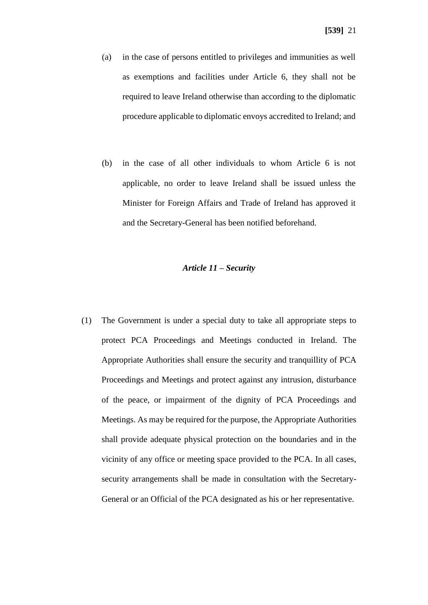- (a) in the case of persons entitled to privileges and immunities as well as exemptions and facilities under Article 6, they shall not be required to leave Ireland otherwise than according to the diplomatic procedure applicable to diplomatic envoys accredited to Ireland; and
- (b) in the case of all other individuals to whom Article 6 is not applicable, no order to leave Ireland shall be issued unless the Minister for Foreign Affairs and Trade of Ireland has approved it and the Secretary-General has been notified beforehand.

#### *Article 11 – Security*

(1) The Government is under a special duty to take all appropriate steps to protect PCA Proceedings and Meetings conducted in Ireland. The Appropriate Authorities shall ensure the security and tranquillity of PCA Proceedings and Meetings and protect against any intrusion, disturbance of the peace, or impairment of the dignity of PCA Proceedings and Meetings. As may be required for the purpose, the Appropriate Authorities shall provide adequate physical protection on the boundaries and in the vicinity of any office or meeting space provided to the PCA. In all cases, security arrangements shall be made in consultation with the Secretary-General or an Official of the PCA designated as his or her representative.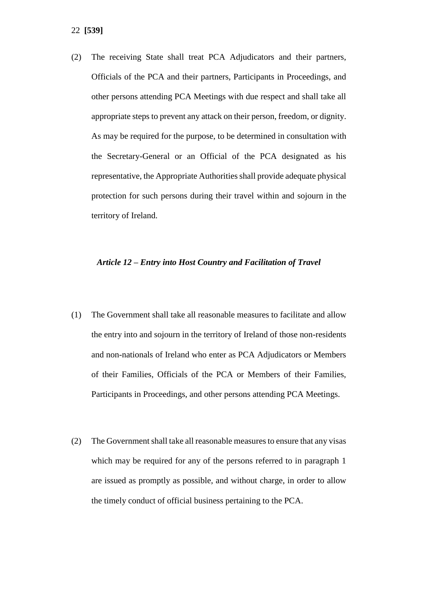(2) The receiving State shall treat PCA Adjudicators and their partners, Officials of the PCA and their partners, Participants in Proceedings, and other persons attending PCA Meetings with due respect and shall take all appropriate steps to prevent any attack on their person, freedom, or dignity. As may be required for the purpose, to be determined in consultation with the Secretary-General or an Official of the PCA designated as his representative, the Appropriate Authorities shall provide adequate physical protection for such persons during their travel within and sojourn in the territory of Ireland.

#### *Article 12 – Entry into Host Country and Facilitation of Travel*

- (1) The Government shall take all reasonable measures to facilitate and allow the entry into and sojourn in the territory of Ireland of those non-residents and non-nationals of Ireland who enter as PCA Adjudicators or Members of their Families, Officials of the PCA or Members of their Families, Participants in Proceedings, and other persons attending PCA Meetings.
- (2) The Government shall take all reasonable measures to ensure that any visas which may be required for any of the persons referred to in paragraph 1 are issued as promptly as possible, and without charge, in order to allow the timely conduct of official business pertaining to the PCA.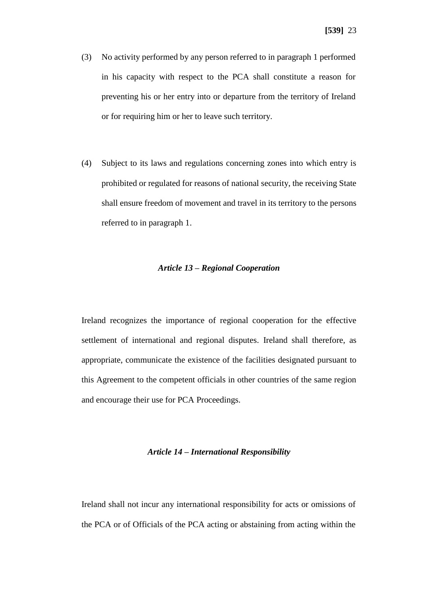- (3) No activity performed by any person referred to in paragraph 1 performed in his capacity with respect to the PCA shall constitute a reason for preventing his or her entry into or departure from the territory of Ireland or for requiring him or her to leave such territory.
- (4) Subject to its laws and regulations concerning zones into which entry is prohibited or regulated for reasons of national security, the receiving State shall ensure freedom of movement and travel in its territory to the persons referred to in paragraph 1.

#### *Article 13 – Regional Cooperation*

Ireland recognizes the importance of regional cooperation for the effective settlement of international and regional disputes. Ireland shall therefore, as appropriate, communicate the existence of the facilities designated pursuant to this Agreement to the competent officials in other countries of the same region and encourage their use for PCA Proceedings.

#### *Article 14 – International Responsibility*

Ireland shall not incur any international responsibility for acts or omissions of the PCA or of Officials of the PCA acting or abstaining from acting within the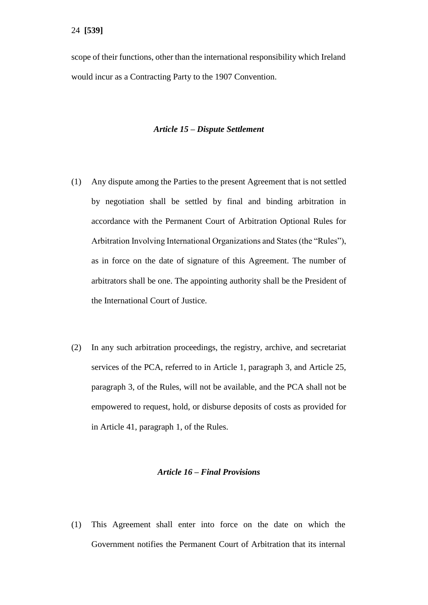scope of their functions, other than the international responsibility which Ireland would incur as a Contracting Party to the 1907 Convention.

#### *Article 15 – Dispute Settlement*

- (1) Any dispute among the Parties to the present Agreement that is not settled by negotiation shall be settled by final and binding arbitration in accordance with the Permanent Court of Arbitration Optional Rules for Arbitration Involving International Organizations and States (the "Rules"), as in force on the date of signature of this Agreement. The number of arbitrators shall be one. The appointing authority shall be the President of the International Court of Justice.
- (2) In any such arbitration proceedings, the registry, archive, and secretariat services of the PCA, referred to in Article 1, paragraph 3, and Article 25, paragraph 3, of the Rules, will not be available, and the PCA shall not be empowered to request, hold, or disburse deposits of costs as provided for in Article 41, paragraph 1, of the Rules.

#### *Article 16 – Final Provisions*

(1) This Agreement shall enter into force on the date on which the Government notifies the Permanent Court of Arbitration that its internal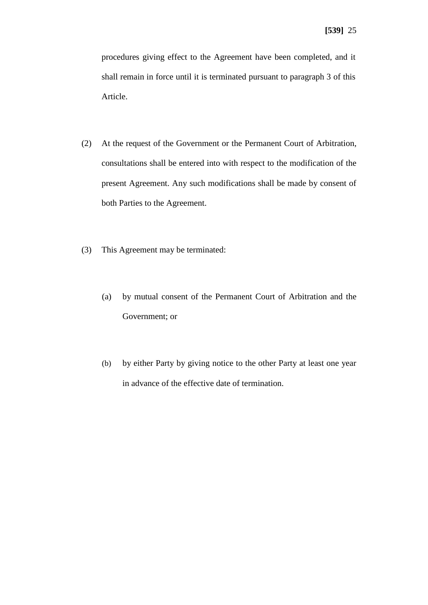procedures giving effect to the Agreement have been completed, and it shall remain in force until it is terminated pursuant to paragraph 3 of this Article.

- (2) At the request of the Government or the Permanent Court of Arbitration, consultations shall be entered into with respect to the modification of the present Agreement. Any such modifications shall be made by consent of both Parties to the Agreement.
- (3) This Agreement may be terminated:
	- (a) by mutual consent of the Permanent Court of Arbitration and the Government; or
	- (b) by either Party by giving notice to the other Party at least one year in advance of the effective date of termination.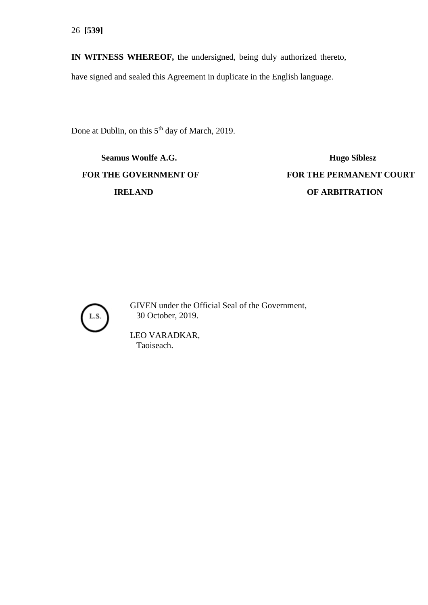**IN WITNESS WHEREOF,** the undersigned, being duly authorized thereto,

have signed and sealed this Agreement in duplicate in the English language.

Done at Dublin, on this 5<sup>th</sup> day of March, 2019.

**Seamus Woulfe A.G. Hugo Siblesz** 

**FOR THE GOVERNMENT OF FOR THE PERMANENT COURT IRELAND OF ARBITRATION** 



GIVEN under the Official Seal of the Government, 30 October, 2019.

LEO VARADKAR, Taoiseach.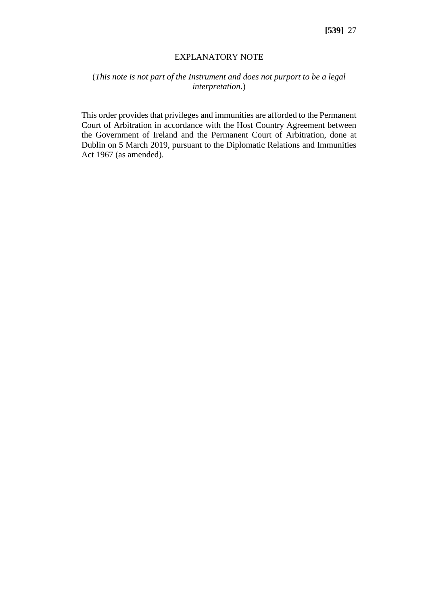#### EXPLANATORY NOTE

# (*This note is not part of the Instrument and does not purport to be a legal interpretation*.)

This order provides that privileges and immunities are afforded to the Permanent Court of Arbitration in accordance with the Host Country Agreement between the Government of Ireland and the Permanent Court of Arbitration, done at Dublin on 5 March 2019, pursuant to the Diplomatic Relations and Immunities Act 1967 (as amended).